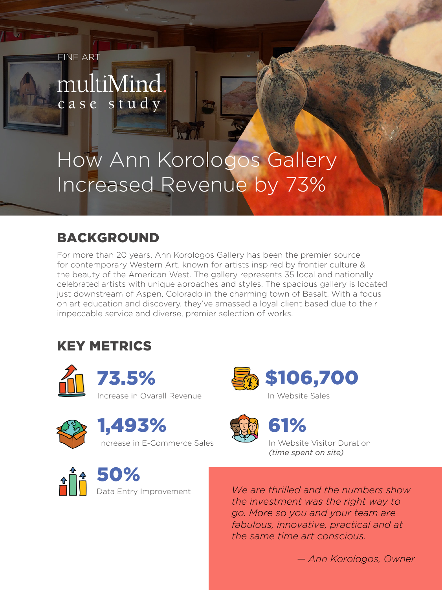FINE ART

# multiMind. case study

# How Ann Korologos Gallery Increased Revenue by 73%

W

### BACKGROUND

For more than 20 years, Ann Korologos Gallery has been the premier source for contemporary Western Art, known for artists inspired by frontier culture & the beauty of the American West. The gallery represents 35 local and nationally celebrated artists with unique aproaches and styles. The spacious gallery is located just downstream of Aspen, Colorado in the charming town of Basalt. With a focus on art education and discovery, they've amassed a loyal client based due to their impeccable service and diverse, premier selection of works.

# KEY METRICS









Increase in E-Commerce Sales





61%

In Website Visitor Duration *(time spent on site)*

 $\frac{1}{2}$  50%

Data Entry Improvement

*We are thrilled and the numbers show the investment was the right way to go. More so you and your team are fabulous, innovative, practical and at the same time art conscious.*

*— Ann Korologos, Owner*